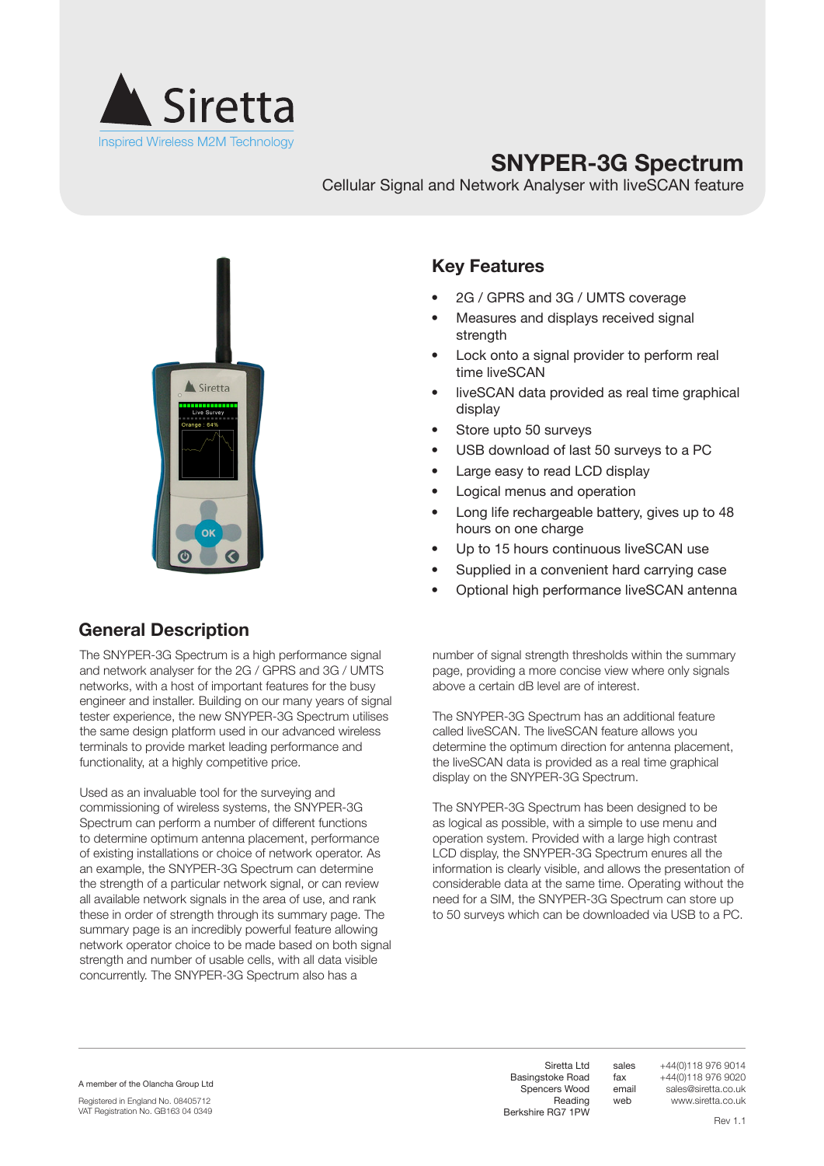

# **SNYPER-3G Spectrum**

Cellular Signal and Network Analyser with liveSCAN feature



#### **Key Features**

- 2G / GPRS and 3G / UMTS coverage
- Measures and displays received signal strength
- Lock onto a signal provider to perform real time liveSCAN
- liveSCAN data provided as real time graphical display
- Store upto 50 surveys
- USB download of last 50 surveys to a PC
- Large easy to read LCD display
- • Logical menus and operation
- Long life rechargeable battery, gives up to 48 hours on one charge
- Up to 15 hours continuous liveSCAN use
- Supplied in a convenient hard carrying case
- Optional high performance liveSCAN antenna

#### **General Description**

The SNYPER-3G Spectrum is a high performance signal and network analyser for the 2G / GPRS and 3G / UMTS networks, with a host of important features for the busy engineer and installer. Building on our many years of signal tester experience, the new SNYPER-3G Spectrum utilises the same design platform used in our advanced wireless terminals to provide market leading performance and functionality, at a highly competitive price.

Used as an invaluable tool for the surveying and commissioning of wireless systems, the SNYPER-3G Spectrum can perform a number of different functions to determine optimum antenna placement, performance of existing installations or choice of network operator. As an example, the SNYPER-3G Spectrum can determine the strength of a particular network signal, or can review all available network signals in the area of use, and rank these in order of strength through its summary page. The summary page is an incredibly powerful feature allowing network operator choice to be made based on both signal strength and number of usable cells, with all data visible concurrently. The SNYPER-3G Spectrum also has a

number of signal strength thresholds within the summary page, providing a more concise view where only signals above a certain dB level are of interest.

The SNYPER-3G Spectrum has an additional feature called liveSCAN. The liveSCAN feature allows you determine the optimum direction for antenna placement, the liveSCAN data is provided as a real time graphical display on the SNYPER-3G Spectrum.

The SNYPER-3G Spectrum has been designed to be as logical as possible, with a simple to use menu and operation system. Provided with a large high contrast LCD display, the SNYPER-3G Spectrum enures all the information is clearly visible, and allows the presentation of considerable data at the same time. Operating without the need for a SIM, the SNYPER-3G Spectrum can store up to 50 surveys which can be downloaded via USB to a PC.

A member of the Olancha Group Ltd

Registered in England No. 08405712 VAT Registration No. GB163 04 0349

Siretta Ltd Basingstoke Road Spencers Wood Reading Berkshire RG7 1PW +44(0)118 976 9014 +44(0)118 976 9020 sales@siretta.co.uk www.siretta.co.uk

sales fax email web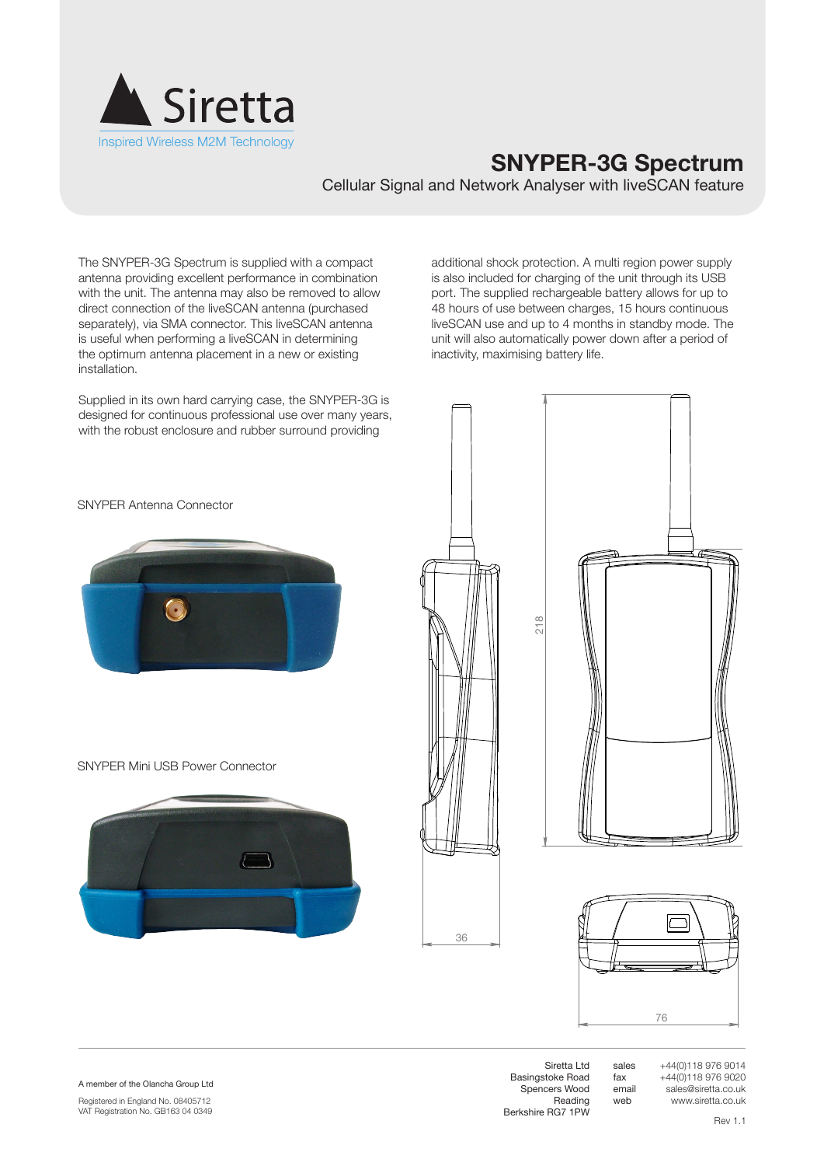

## **SNYPER-3G Spectrum**

Cellular Signal and Network Analyser with liveSCAN feature

The SNYPER-3G Spectrum is supplied with a compact antenna providing excellent performance in combination with the unit. The antenna may also be removed to allow direct connection of the liveSCAN antenna (purchased separately), via SMA connector. This liveSCAN antenna is useful when performing a liveSCAN in determining the optimum antenna placement in a new or existing installation.

Supplied in its own hard carrying case, the SNYPER-3G is designed for continuous professional use over many years, with the robust enclosure and rubber surround providing

additional shock protection. A multi region power supply is also included for charging of the unit through its USB port. The supplied rechargeable battery allows for up to 48 hours of use between charges, 15 hours continuous liveSCAN use and up to 4 months in standby mode. The unit will also automatically power down after a period of inactivity, maximising battery life.











SNYPER Mini USB Power Connector



A member of the Olancha Group Ltd

Registered in England No. 08405712 VAT Registration No. GB163 04 0349

Siretta Ltd Basingstoke Road Spencers Wood Reading Berkshire RG7 1PW sales fax email web +44(0)118 976 9014 +44(0)118 976 9020 sales@siretta.co.uk www.siretta.co.uk

Rev 1.1